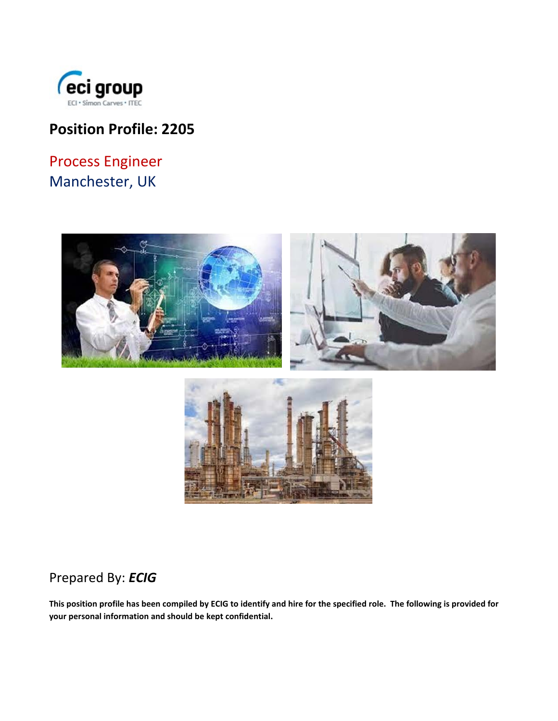

## **Position Profile: 2205**

# Process Engineer Manchester, UK



## Prepared By: *ECIG*

**This position profile has been compiled by ECIG to identify and hire for the specified role. The following is provided for your personal information and should be kept confidential.**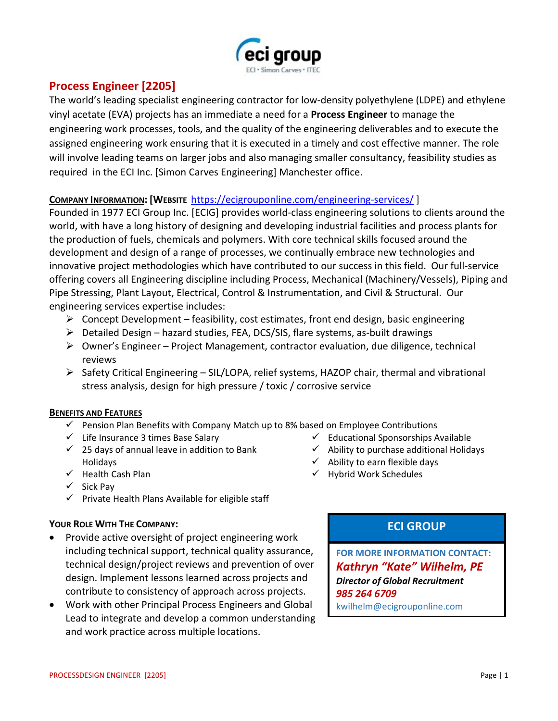

### **Process Engineer [2205]**

The world's leading specialist engineering contractor for low-density polyethylene (LDPE) and ethylene vinyl acetate (EVA) projects has an immediate a need for a **Process Engineer** to manage the engineering work processes, tools, and the quality of the engineering deliverables and to execute the assigned engineering work ensuring that it is executed in a timely and cost effective manner. The role will involve leading teams on larger jobs and also managing smaller consultancy, feasibility studies as required in the ECI Inc. [Simon Carves Engineering] Manchester office.

### **COMPANY INFORMATION: [WEBSITE** <https://ecigrouponline.com/engineering-services/> ]

Founded in 1977 ECI Group Inc. [ECIG] provides world-class engineering solutions to clients around the world, with have a long history of designing and developing industrial facilities and process plants for the production of fuels, chemicals and polymers. With core technical skills focused around the development and design of a range of processes, we continually embrace new technologies and innovative project methodologies which have contributed to our success in this field. Our full-service offering covers all Engineering discipline including Process, Mechanical (Machinery/Vessels), Piping and Pipe Stressing, Plant Layout, Electrical, Control & Instrumentation, and Civil & Structural. Our engineering services expertise includes:

- $\triangleright$  Concept Development feasibility, cost estimates, front end design, basic engineering
- $\triangleright$  Detailed Design hazard studies, FEA, DCS/SIS, flare systems, as-built drawings
- $\triangleright$  Owner's Engineer Project Management, contractor evaluation, due diligence, technical reviews
- $\triangleright$  Safety Critical Engineering SIL/LOPA, relief systems, HAZOP chair, thermal and vibrational stress analysis, design for high pressure / toxic / corrosive service

### **BENEFITS AND FEATURES**

- $\checkmark$  Pension Plan Benefits with Company Match up to 8% based on Employee Contributions
- $\checkmark$  Life Insurance 3 times Base Salary
- $\checkmark$  25 days of annual leave in addition to Bank Holidays
- $\checkmark$  Health Cash Plan
- $\checkmark$  Sick Pay
- $\checkmark$  Private Health Plans Available for eligible staff

### **YOUR ROLE WITH THE COMPANY:**

- Provide active oversight of project engineering work including technical support, technical quality assurance, technical design/project reviews and prevention of over design. Implement lessons learned across projects and contribute to consistency of approach across projects.
- Work with other Principal Process Engineers and Global Lead to integrate and develop a common understanding and work practice across multiple locations.

 $\checkmark$  Educational Sponsorships Available

- $\checkmark$  Ability to purchase additional Holidays
- $\checkmark$  Ability to earn flexible days
- $\checkmark$  Hybrid Work Schedules

### **ECI GROUP**

**FOR MORE INFORMATION CONTACT:** *Kathryn "Kate" Wilhelm, PE Director of Global Recruitment 985 264 6709* kwilhelm@ecigrouponline.com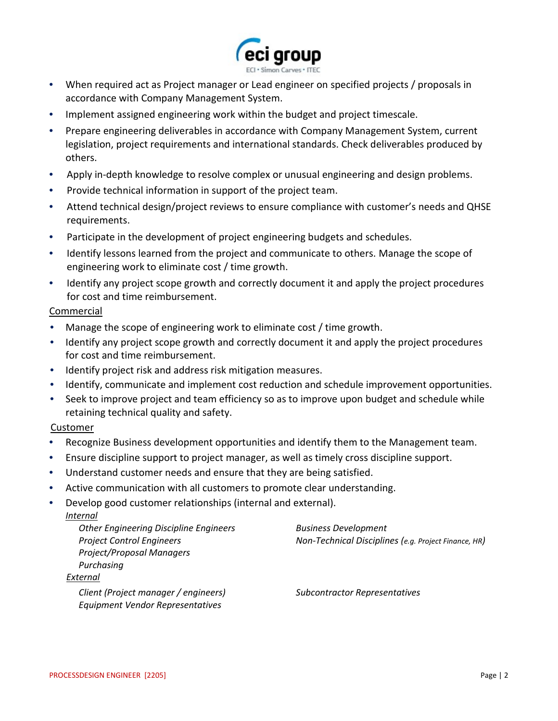

- When required act as Project manager or Lead engineer on specified projects / proposals in accordance with Company Management System.
- Implement assigned engineering work within the budget and project timescale.
- Prepare engineering deliverables in accordance with Company Management System, current legislation, project requirements and international standards. Check deliverables produced by others.
- Apply in-depth knowledge to resolve complex or unusual engineering and design problems.
- Provide technical information in support of the project team.
- Attend technical design/project reviews to ensure compliance with customer's needs and QHSE requirements.
- Participate in the development of project engineering budgets and schedules.
- Identify lessons learned from the project and communicate to others. Manage the scope of engineering work to eliminate cost / time growth.
- Identify any project scope growth and correctly document it and apply the project procedures for cost and time reimbursement.

### Commercial

- Manage the scope of engineering work to eliminate cost / time growth.
- Identify any project scope growth and correctly document it and apply the project procedures for cost and time reimbursement.
- Identify project risk and address risk mitigation measures.
- Identify, communicate and implement cost reduction and schedule improvement opportunities.
- Seek to improve project and team efficiency so as to improve upon budget and schedule while retaining technical quality and safety.

### Customer

- Recognize Business development opportunities and identify them to the Management team.
- Ensure discipline support to project manager, as well as timely cross discipline support.
- Understand customer needs and ensure that they are being satisfied.
- Active communication with all customers to promote clear understanding.
- Develop good customer relationships (internal and external).

| <i>Internal</i>                               |                                                      |
|-----------------------------------------------|------------------------------------------------------|
| <b>Other Engineering Discipline Engineers</b> | <b>Business Development</b>                          |
| <b>Project Control Engineers</b>              | Non-Technical Disciplines (e.g. Project Finance, HR) |
| <b>Project/Proposal Managers</b>              |                                                      |
| Purchasing                                    |                                                      |
| External                                      |                                                      |
| Client (Project manager / engineers)          | <b>Subcontractor Representatives</b>                 |
| Equipment Vendor Representatives              |                                                      |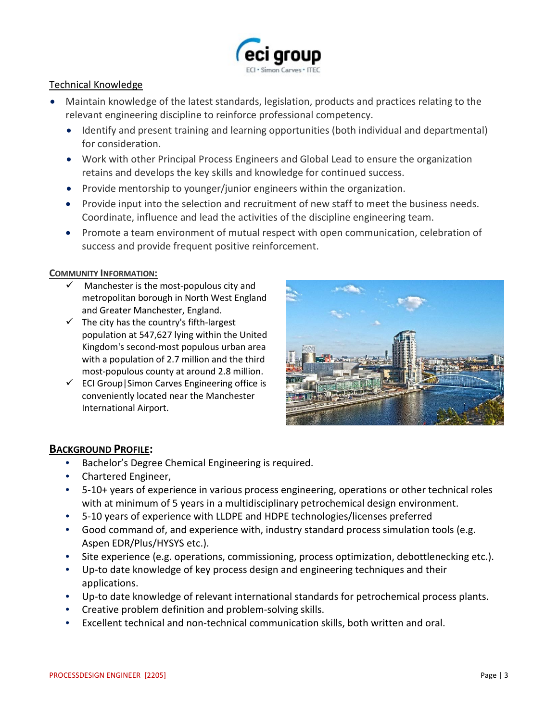

### Technical Knowledge

- Maintain knowledge of the latest standards, legislation, products and practices relating to the relevant engineering discipline to reinforce professional competency.
	- Identify and present training and learning opportunities (both individual and departmental) for consideration.
	- Work with other Principal Process Engineers and Global Lead to ensure the organization retains and develops the key skills and knowledge for continued success.
	- Provide mentorship to younger/junior engineers within the organization.
	- Provide input into the selection and recruitment of new staff to meet the business needs. Coordinate, influence and lead the activities of the discipline engineering team.
	- Promote a team environment of mutual respect with open communication, celebration of success and provide frequent positive reinforcement.

#### **COMMUNITY INFORMATION:**

- Manchester is the most-populous city and metropolitan borough in North West England and Greater Manchester, England.
- $\checkmark$  The city has the country's fifth-largest population at 547,627 lying within the United Kingdom's second-most populous urban area with a population of 2.7 million and the third most-populous county at around 2.8 million.
- $\checkmark$  ECI Group Simon Carves Engineering office is conveniently located near the Manchester International Airport.



### **BACKGROUND PROFILE:**

- Bachelor's Degree Chemical Engineering is required.
- Chartered Engineer,
- 5-10+ years of experience in various process engineering, operations or other technical roles with at minimum of 5 years in a multidisciplinary petrochemical design environment.
- 5-10 years of experience with LLDPE and HDPE technologies/licenses preferred
- Good command of, and experience with, industry standard process simulation tools (e.g. Aspen EDR/Plus/HYSYS etc.).
- Site experience (e.g. operations, commissioning, process optimization, debottlenecking etc.).
- Up-to date knowledge of key process design and engineering techniques and their applications.
- Up-to date knowledge of relevant international standards for petrochemical process plants.
- Creative problem definition and problem-solving skills.
- Excellent technical and non-technical communication skills, both written and oral.